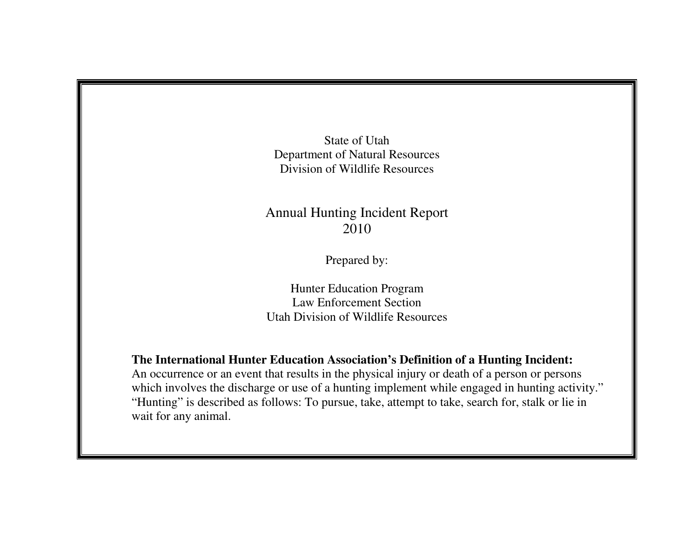State of Utah Department of Natural Resources Division of Wildlife Resources

## Annual Hunting Incident Report 2010

Prepared by:

Hunter Education Program Law Enforcement Section Utah Division of Wildlife Resources

**The International Hunter Education Association's Definition of a Hunting Incident:** 

 An occurrence or an event that results in the physical injury or death of a person or persons which involves the discharge or use of a hunting implement while engaged in hunting activity." "Hunting" is described as follows: To pursue, take, attempt to take, search for, stalk or lie in wait for any animal.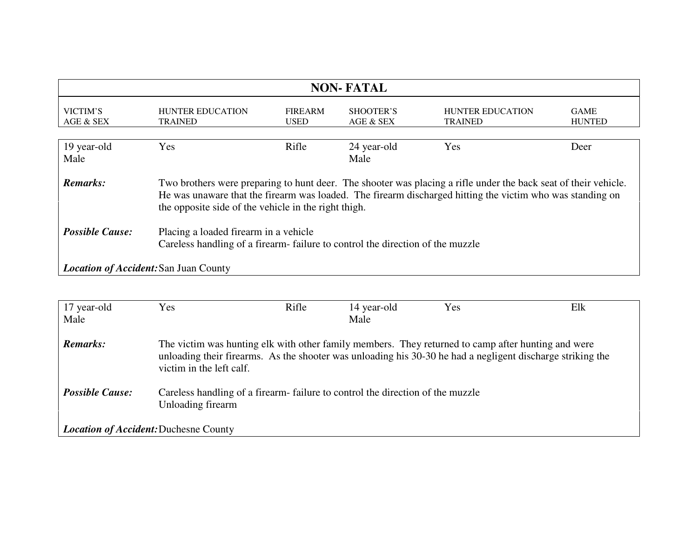| <b>NON-FATAL</b>                             |                                                                                                                                                                                                                                                                                      |                               |                        |                                           |                              |  |
|----------------------------------------------|--------------------------------------------------------------------------------------------------------------------------------------------------------------------------------------------------------------------------------------------------------------------------------------|-------------------------------|------------------------|-------------------------------------------|------------------------------|--|
| VICTIM'S<br>AGE & SEX                        | <b>HUNTER EDUCATION</b><br>TRAINED                                                                                                                                                                                                                                                   | <b>FIREARM</b><br><b>USED</b> | SHOOTER'S<br>AGE & SEX | <b>HUNTER EDUCATION</b><br><b>TRAINED</b> | <b>GAME</b><br><b>HUNTED</b> |  |
| 19 year-old<br>Male                          | Yes                                                                                                                                                                                                                                                                                  | Rifle                         | 24 year-old<br>Male    | Yes                                       | Deer                         |  |
| Remarks:                                     | Two brothers were preparing to hunt deer. The shooter was placing a rifle under the back seat of their vehicle.<br>He was unaware that the firearm was loaded. The firearm discharged hitting the victim who was standing on<br>the opposite side of the vehicle in the right thigh. |                               |                        |                                           |                              |  |
| <b>Possible Cause:</b>                       | Placing a loaded firearm in a vehicle<br>Careless handling of a firearm-failure to control the direction of the muzzle                                                                                                                                                               |                               |                        |                                           |                              |  |
| <b>Location of Accident: San Juan County</b> |                                                                                                                                                                                                                                                                                      |                               |                        |                                           |                              |  |

| 17 year-old                           | <b>Yes</b>                                                                                                                                                                                                                                   | Rifle | 14 year-old | Yes | Elk |  |
|---------------------------------------|----------------------------------------------------------------------------------------------------------------------------------------------------------------------------------------------------------------------------------------------|-------|-------------|-----|-----|--|
| Male                                  |                                                                                                                                                                                                                                              |       | Male        |     |     |  |
| <b>Remarks:</b>                       | The victim was hunting elk with other family members. They returned to camp after hunting and were<br>unloading their firearms. As the shooter was unloading his 30-30 he had a negligent discharge striking the<br>victim in the left calf. |       |             |     |     |  |
| <b>Possible Cause:</b>                | Careless handling of a firearm-failure to control the direction of the muzzle<br>Unloading firearm                                                                                                                                           |       |             |     |     |  |
| Location of Accident: Duchesne County |                                                                                                                                                                                                                                              |       |             |     |     |  |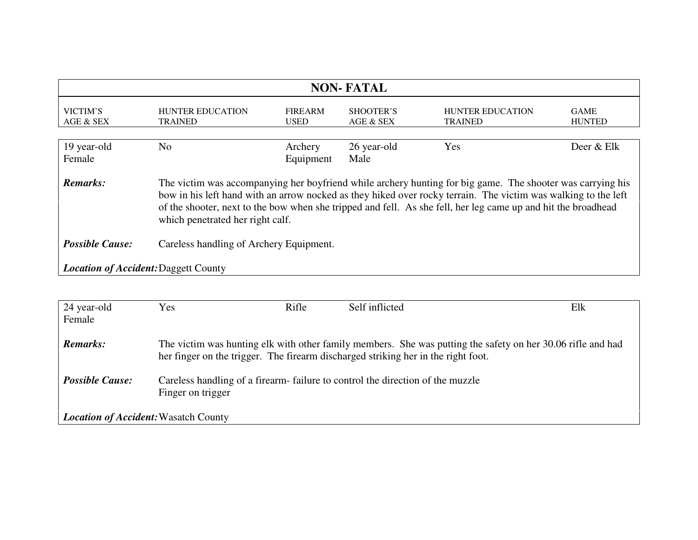| <b>NON-FATAL</b>                                                                                                                                                                                                                                                                                                                                                                                     |                                           |                               |                        |                                           |                              |  |
|------------------------------------------------------------------------------------------------------------------------------------------------------------------------------------------------------------------------------------------------------------------------------------------------------------------------------------------------------------------------------------------------------|-------------------------------------------|-------------------------------|------------------------|-------------------------------------------|------------------------------|--|
| VICTIM'S<br>AGE & SEX                                                                                                                                                                                                                                                                                                                                                                                | <b>HUNTER EDUCATION</b><br><b>TRAINED</b> | <b>FIREARM</b><br><b>USED</b> | SHOOTER'S<br>AGE & SEX | <b>HUNTER EDUCATION</b><br><b>TRAINED</b> | <b>GAME</b><br><b>HUNTED</b> |  |
| 19 year-old<br>Female                                                                                                                                                                                                                                                                                                                                                                                | N <sub>o</sub>                            | Archery<br>Equipment          | 26 year-old<br>Male    | Yes                                       | Deer & Elk                   |  |
| <b>Remarks:</b><br>The victim was accompanying her boyfriend while archery hunting for big game. The shooter was carrying his<br>bow in his left hand with an arrow nocked as they hiked over rocky terrain. The victim was walking to the left<br>of the shooter, next to the bow when she tripped and fell. As she fell, her leg came up and hit the broadhead<br>which penetrated her right calf. |                                           |                               |                        |                                           |                              |  |
| <b>Possible Cause:</b>                                                                                                                                                                                                                                                                                                                                                                               | Careless handling of Archery Equipment.   |                               |                        |                                           |                              |  |
| <b>Location of Accident: Daggett County</b>                                                                                                                                                                                                                                                                                                                                                          |                                           |                               |                        |                                           |                              |  |

| 24 year-old                                 | Yes                                                                                                                                                                                              | Rifle | Self inflicted | Elk |  |  |
|---------------------------------------------|--------------------------------------------------------------------------------------------------------------------------------------------------------------------------------------------------|-------|----------------|-----|--|--|
| Female                                      |                                                                                                                                                                                                  |       |                |     |  |  |
| <b>Remarks:</b>                             | The victim was hunting elk with other family members. She was putting the safety on her 30.06 rifle and had<br>her finger on the trigger. The firearm discharged striking her in the right foot. |       |                |     |  |  |
| <b>Possible Cause:</b>                      | Careless handling of a firearm-failure to control the direction of the muzzle<br>Finger on trigger                                                                                               |       |                |     |  |  |
| <b>Location of Accident:</b> Wasatch County |                                                                                                                                                                                                  |       |                |     |  |  |